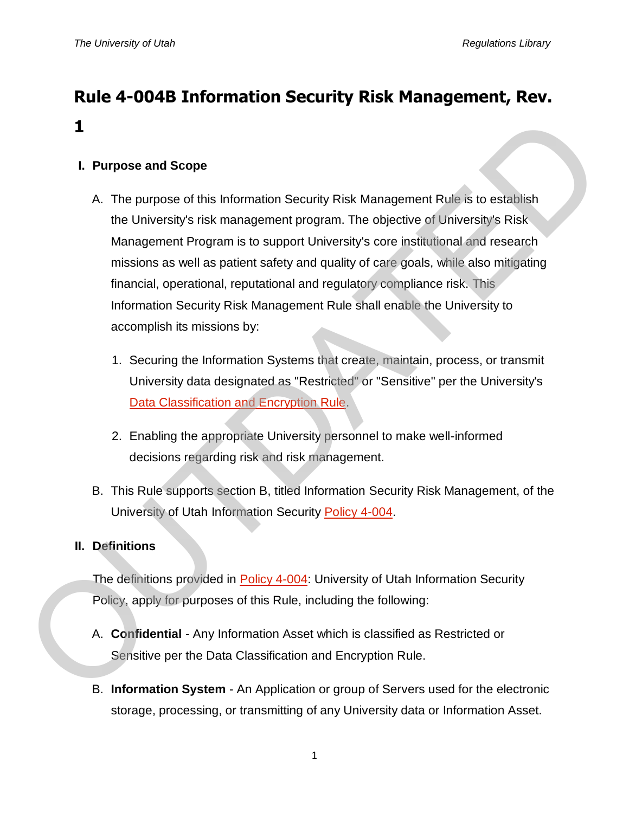# **Rule 4-004B Information Security Risk Management, Rev. 1**

## **I. Purpose and Scope**

- A. The purpose of this Information Security Risk Management Rule is to establish the University's risk management program. The objective of University's Risk Management Program is to support University's core institutional and research missions as well as patient safety and quality of care goals, while also mitigating financial, operational, reputational and regulatory compliance risk. This Information Security Risk Management Rule shall enable the University to accomplish its missions by: 1. Purpose and Scope<br>
A. The purpose of this Information Security Risk Management Rule is to establish<br>
the University's risk management program. The objective of University's Risk<br>
Management Program is to support Univer
	- 1. Securing the Information Systems that create, maintain, process, or transmit University data designated as "Restricted" or "Sensitive" per the University's Data Classification and Encryption Rule.
	- 2. Enabling the appropriate University personnel to make well-informed decisions regarding risk and risk management.
	- B. This Rule supports section B, titled Information Security Risk Management, of the University of Utah Information Security Policy 4-004.

### **II. Definitions**

The definitions provided in Policy 4-004: University of Utah Information Security Policy, apply for purposes of this Rule, including the following:

- A. **Confidential** Any Information Asset which is classified as Restricted or Sensitive per the Data Classification and Encryption Rule.
- B. **Information System** An Application or group of Servers used for the electronic storage, processing, or transmitting of any University data or Information Asset.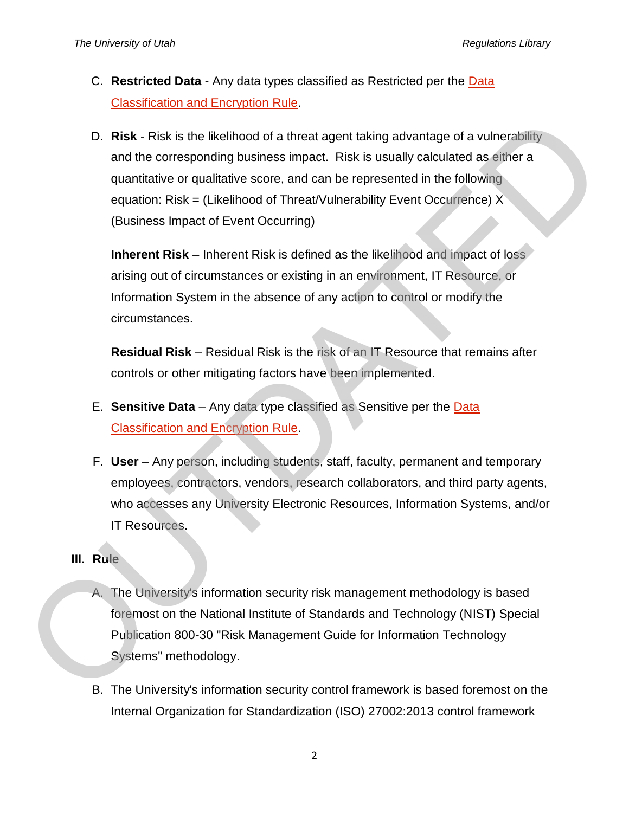- C. **Restricted Data** Any data types classified as Restricted per the [Data](http://regulations.utah.edu/it/rules/Rule4-004C.php)  [Classification and Encryption Rule.](http://regulations.utah.edu/it/rules/Rule4-004C.php)
- D. **Risk** Risk is the likelihood of a threat agent taking advantage of a vulnerability and the corresponding business impact. Risk is usually calculated as either a quantitative or qualitative score, and can be represented in the following equation: Risk = (Likelihood of Threat/Vulnerability Event Occurrence)  $X$ (Business Impact of Event Occurring) **D. Risk - Risk is the likelihood of a threat agent taking advantage of a vulnerability<br>
and the corresponding business impact. Risk is usually calculated as either a<br>
quantitative or qualitative score, and can be represe**

**Inherent Risk** – Inherent Risk is defined as the likelihood and impact of loss arising out of circumstances or existing in an environment, IT Resource, or Information System in the absence of any action to control or modify the circumstances.

**Residual Risk** – Residual Risk is the risk of an IT Resource that remains after controls or other mitigating factors have been implemented.

- E. **Sensitive Data** Any data type classified as Sensitive per the Data Classification and Encryption Rule.
- F. **User** Any person, including students, staff, faculty, permanent and temporary employees, contractors, vendors, research collaborators, and third party agents, who accesses any University Electronic Resources, Information Systems, and/or IT Resources.
- **III. Rule**
	- A. The University's information security risk management methodology is based foremost on the National Institute of Standards and Technology (NIST) Special Publication 800-30 "Risk Management Guide for Information Technology Systems" methodology.
	- B. The University's information security control framework is based foremost on the Internal Organization for Standardization (ISO) 27002:2013 control framework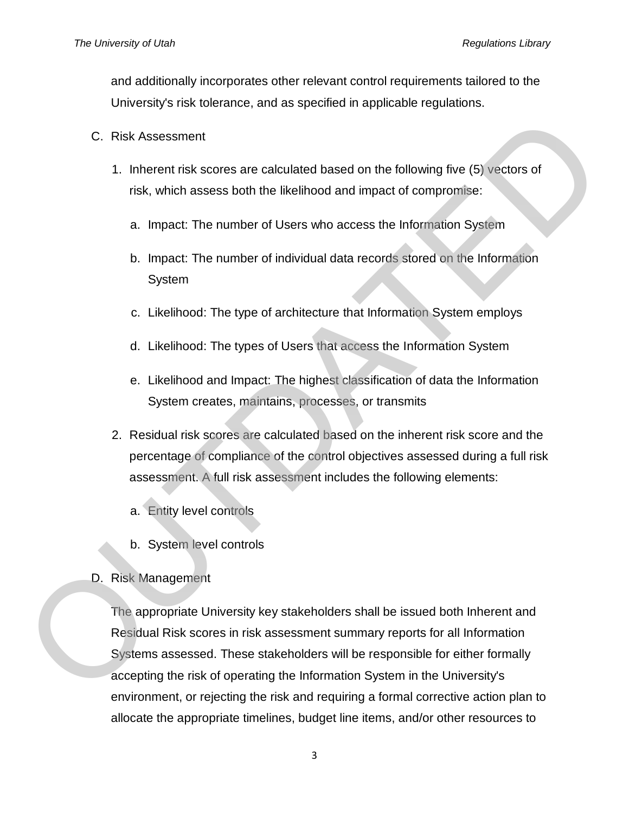and additionally incorporates other relevant control requirements tailored to the University's risk tolerance, and as specified in applicable regulations.

- C. Risk Assessment
	- 1. Inherent risk scores are calculated based on the following five (5) vectors of risk, which assess both the likelihood and impact of compromise:
		- a. Impact: The number of Users who access the Information System
		- b. Impact: The number of individual data records stored on the Information System
		- c. Likelihood: The type of architecture that Information System employs
		- d. Likelihood: The types of Users that access the Information System
		- e. Likelihood and Impact: The highest classification of data the Information System creates, maintains, processes, or transmits
	- 2. Residual risk scores are calculated based on the inherent risk score and the percentage of compliance of the control objectives assessed during a full risk assessment. A full risk assessment includes the following elements:
		- a. Entity level controls
		- b. System level controls
- D. Risk Management

The appropriate University key stakeholders shall be issued both Inherent and Residual Risk scores in risk assessment summary reports for all Information Systems assessed. These stakeholders will be responsible for either formally accepting the risk of operating the Information System in the University's environment, or rejecting the risk and requiring a formal corrective action plan to C. Risk Assessment<br>
1. Inherent risk scores are calculated based on the following five (5) vectors of<br>
risk, which assess both the likelihood and impact of compromise:<br>
1. Impact: The number of Users who access the Informa allocate the appropriate timelines, budget line items, and/or other resources to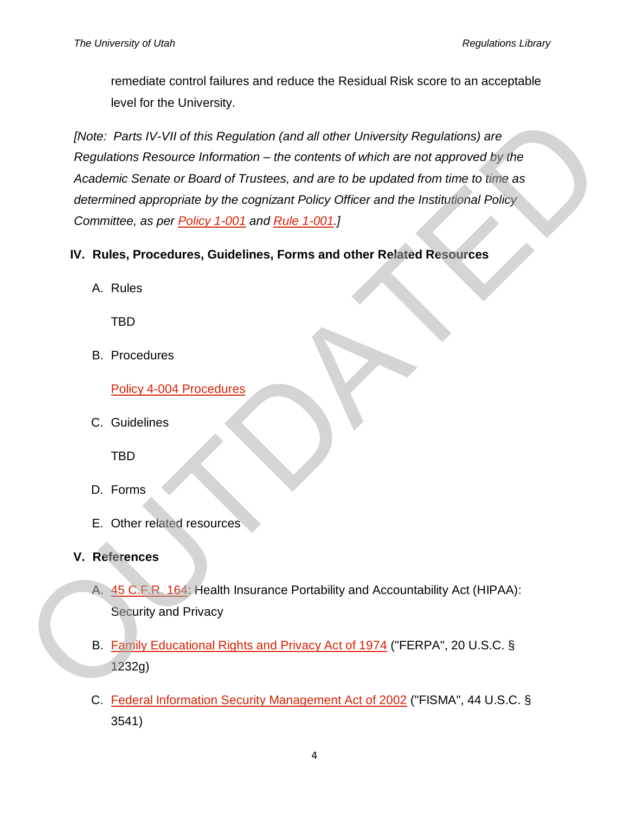remediate control failures and reduce the Residual Risk score to an acceptable level for the University.

*[Note: Parts IV-VII of this Regulation (and all other University Regulations) are Regulations Resource Information – the contents of which are not approved by the Academic Senate or Board of Trustees, and are to be updated from time to time as determined appropriate by the cognizant Policy Officer and the Institutional Policy Committee, as per Policy 1-001 and Rule 1-001.]* (Note: Parts IV-VII of this Regulation (and all other University Regulations) are<br>
Regulations Resource Information – the contents of which are not approved by the<br>
Academic Senate or Board of Trustees, and are to be updat

- **IV. Rules, Procedures, Guidelines, Forms and other Related Resources**
	- A. Rules

TBD

B. Procedures

Policy 4-004 Procedures

C. Guidelines

TBD

- D. Forms
- E. Other related resources
- **V. References**
	- A. 45 C.F.R. 164: Health Insurance Portability and Accountability Act (HIPAA): Security and Privacy
	- B. Family Educational Rights and Privacy Act of 1974 ("FERPA", 20 U.S.C. § 1232g)
	- C. Federal Information Security Management Act of 2002 ("FISMA", 44 U.S.C. § 3541)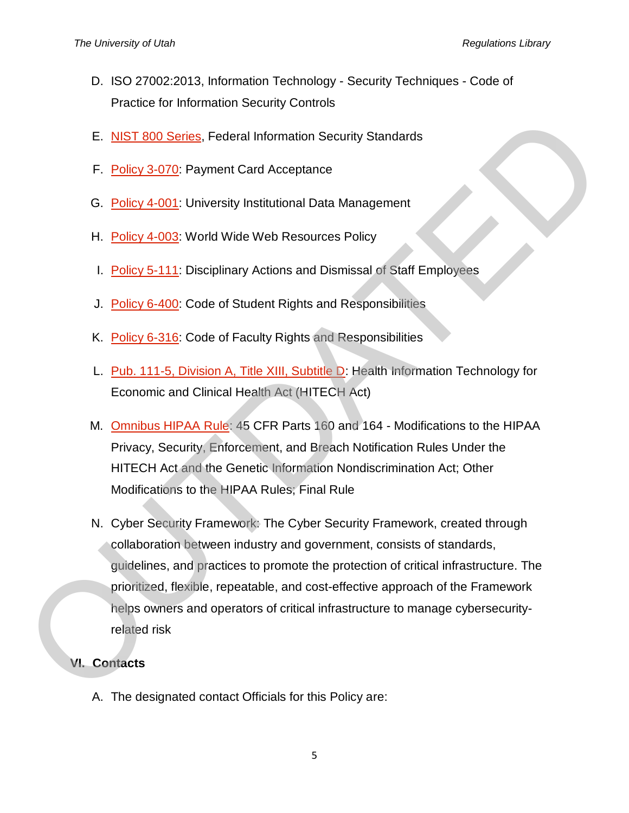- D. ISO 27002:2013, Information Technology Security Techniques Code of Practice for Information Security Controls
- E. NIST 800 Series, Federal Information Security Standards
- F. Policy 3-070: Payment Card Acceptance
- G. Policy 4-001: University Institutional Data Management
- H. Policy 4-003: World Wide Web Resources Policy
- I. Policy 5-111: Disciplinary Actions and Dismissal of Staff Employees
- J. Policy 6-400: Code of Student Rights and Responsibilities
- K. Policy 6-316: Code of Faculty Rights and Responsibilities
- L. Pub. 111-5, Division A, Title XIII, Subtitle D: Health Information Technology for Economic and Clinical Health Act (HITECH Act)
- M. Omnibus HIPAA Rule: 45 CFR Parts 160 and 164 Modifications to the HIPAA Privacy, Security, Enforcement, and Breach Notification Rules Under the HITECH Act and the Genetic Information Nondiscrimination Act; Other Modifications to the HIPAA Rules; Final Rule
- N. Cyber Security Framework: The Cyber Security Framework, created through collaboration between industry and government, consists of standards, guidelines, and practices to promote the protection of critical infrastructure. The prioritized, flexible, repeatable, and cost-effective approach of the Framework helps owners and operators of critical infrastructure to manage cybersecurityrelated risk E. NIS[T](http://www.gpo.gov/fdsys/pkg/FR-2013-01-25/pdf/2013-01073.pdf) 800 Series. Federal Information Security Standards<br>
F. Policy 3-070: Payment Card Acceptance<br>
G. Policy 4-003: World Wide Web Resources Policy<br>
I. Policy 4-003: World Wide Web Resources Policy<br>
I. <u>Policy 6-410</u>: C

### **VI. Contacts**

A. The designated contact Officials for this Policy are: